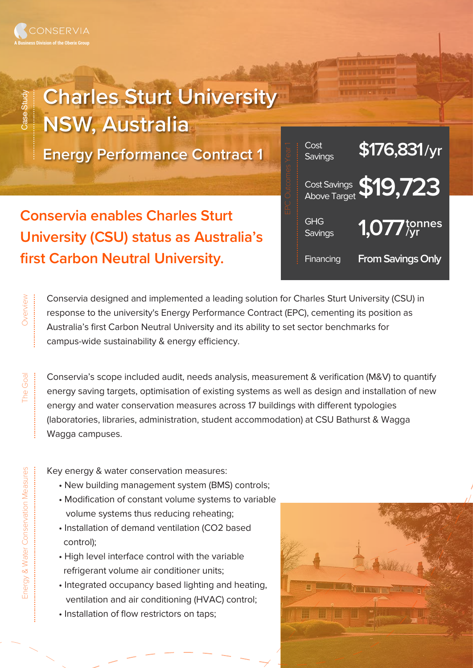Case Study

Overview .........................

The Goal

...............................

.................................

## **Charles Sturt University NSW, Australia**

**Energy Performance Contract 1**

**Conservia enables Charles Sturt University (CSU) status as Australia's first Carbon Neutral University.** 



Conservia designed and implemented a leading solution for Charles Sturt University (CSU) in response to the university's Energy Performance Contract (EPC), cementing its position as Australia's first Carbon Neutral University and its ability to set sector benchmarks for campus-wide sustainability & energy efficiency.

Conservia's scope included audit, needs analysis, measurement & verification (M&V) to quantify energy saving targets, optimisation of existing systems as well as design and installation of new energy and water conservation measures across 17 buildings with different typologies (laboratories, libraries, administration, student accommodation) at CSU Bathurst & Wagga Wagga campuses.

Key energy & water conservation measures:

- New building management system (BMS) controls;
- Modification of constant volume systems to variable volume systems thus reducing reheating;
- Installation of demand ventilation (CO2 based control);
- High level interface control with the variable refrigerant volume air conditioner units;
- Integrated occupancy based lighting and heating, ventilation and air conditioning (HVAC) control;
- Installation of flow restrictors on taps;



.........................................................................